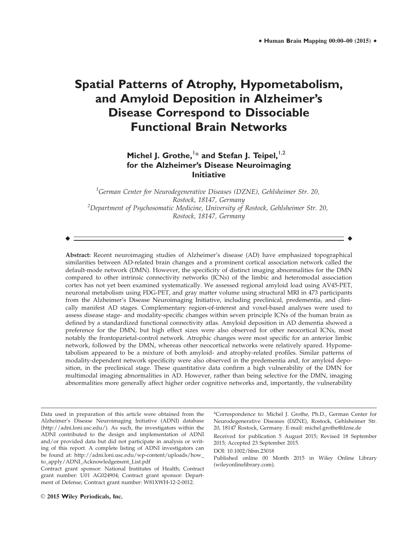# **Spatial Patterns of Atrophy, Hypometabolism, and Amyloid Deposition in Alzheimer's Disease Correspond to Dissociable Functional Brain Networks**

## Michel J. Grothe, <sup>1\*</sup> and Stefan J. Teipel, <sup>1,2</sup> **for the Alzheimer's Disease Neuroimaging Initiative**

 $^1$ German Center for Neurodegenerative Diseases (DZNE), Gehlsheimer Str. 20, Rostock, 18147, Germany  $^2$ Department of Psychosomatic Medicine, University of Rostock, Gehlsheimer Str. 20, Rostock, 18147, Germany

r r

Abstract: Recent neuroimaging studies of Alzheimer's disease (AD) have emphasized topographical similarities between AD-related brain changes and a prominent cortical association network called the default-mode network (DMN). However, the specificity of distinct imaging abnormalities for the DMN compared to other intrinsic connectivity networks (ICNs) of the limbic and heteromodal association cortex has not yet been examined systematically. We assessed regional amyloid load using AV45-PET, neuronal metabolism using FDG-PET, and gray matter volume using structural MRI in 473 participants from the Alzheimer's Disease Neuroimaging Initiative, including preclinical, predementia, and clinically manifest AD stages. Complementary region-of-interest and voxel-based analyses were used to assess disease stage- and modality-specific changes within seven principle ICNs of the human brain as defined by a standardized functional connectivity atlas. Amyloid deposition in AD dementia showed a preference for the DMN, but high effect sizes were also observed for other neocortical ICNs, most notably the frontoparietal-control network. Atrophic changes were most specific for an anterior limbic network, followed by the DMN, whereas other neocortical networks were relatively spared. Hypometabolism appeared to be a mixture of both amyloid- and atrophy-related profiles. Similar patterns of modality-dependent network specificity were also observed in the predementia and, for amyloid deposition, in the preclinical stage. These quantitative data confirm a high vulnerability of the DMN for multimodal imaging abnormalities in AD. However, rather than being selective for the DMN, imaging abnormalities more generally affect higher order cognitive networks and, importantly, the vulnerability

Data used in preparation of this article were obtained from the Alzheimer's Disease Neuroimaging Initiative (ADNI) database ([http://adni.loni.usc.edu/\)](http://adni.loni.usc.edu/). As such, the investigators within the ADNI contributed to the design and implementation of ADNI and/or provided data but did not participate in analysis or writing of this report. A complete listing of ADNI investigators can be found at: [http://adni.loni.usc.edu/wp-content/uploads/how\\_](http://adni.loni.usc.edu/wp-content/uploads/how_to_apply/ADNI_Acknowledgement_List.pdf) [to\\_apply/ADNI\\_Acknowledgement\\_List.pdf](http://adni.loni.usc.edu/wp-content/uploads/how_to_apply/ADNI_Acknowledgement_List.pdf)

\*Correspondence to: Michel J. Grothe, Ph.D., German Center for Neurodegenerative Diseases (DZNE), Rostock, Gehlsheimer Str. 20, 18147 Rostock, Germany. E-mail: michel.grothe@dzne.de

Received for publication 5 August 2015; Revised 18 September 2015; Accepted 23 September 2015.

DOI: 10.1002/hbm.23018

Published online 00 Month 2015 in Wiley Online Library (wileyonlinelibrary.com).

Contract grant sponsor: National Institutes of Health; Contract grant number: U01 AG024904; Contract grant sponsor: Department of Defense; Contract grant number: W81XWH-12-2-0012.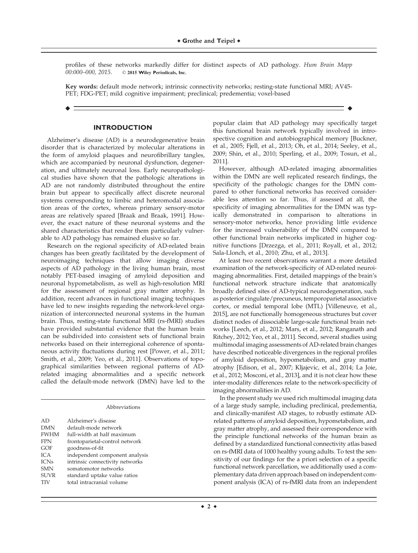profiles of these networks markedly differ for distinct aspects of AD pathology. *Hum Brain Mapp* 00:000–000, 2015. © 2015 Wilev Periodicals, Inc.  $\odot$  2015 Wiley Periodicals, Inc.

Key words: default mode network; intrinsic connectivity networks; resting-state functional MRI; AV45- PET; FDG-PET; mild cognitive impairment; preclinical; predementia; voxel-based

r r

## **INTRODUCTION**

Alzheimer's disease (AD) is a neurodegenerative brain disorder that is characterized by molecular alterations in the form of amyloid plaques and neurofibrillary tangles, which are accompanied by neuronal dysfunction, degeneration, and ultimately neuronal loss. Early neuropathological studies have shown that the pathologic alterations in AD are not randomly distributed throughout the entire brain but appear to specifically affect discrete neuronal systems corresponding to limbic and heteromodal association areas of the cortex, whereas primary sensory-motor areas are relatively spared [Braak and Braak, 1991]. However, the exact nature of these neuronal systems and the shared characteristics that render them particularly vulnerable to AD pathology has remained elusive so far.

Research on the regional specificity of AD-related brain changes has been greatly facilitated by the development of neuroimaging techniques that allow imaging diverse aspects of AD pathology in the living human brain, most notably PET-based imaging of amyloid deposition and neuronal hypometabolism, as well as high-resolution MRI for the assessment of regional gray matter atrophy. In addition, recent advances in functional imaging techniques have led to new insights regarding the network-level organization of interconnected neuronal systems in the human brain. Thus, resting-state functional MRI (rs-fMRI) studies have provided substantial evidence that the human brain can be subdivided into consistent sets of functional brain networks based on their interregional coherence of spontaneous activity fluctuations during rest [Power, et al., 2011; Smith, et al., 2009; Yeo, et al., 2011]. Observations of topographical similarities between regional patterns of ADrelated imaging abnormalities and a specific network called the default-mode network (DMN) have led to the

| AD          | Alzheimer's disease             |
|-------------|---------------------------------|
| <b>DMN</b>  | default-mode network            |
| <b>FWHM</b> | full-width at half maximum      |
| <b>FPN</b>  | frontoparietal-control network  |
| GOF         | goodness-of-fit                 |
| <b>ICA</b>  | independent component analysis  |
| <b>ICNs</b> | intrinsic connectivity networks |
| <b>SMN</b>  | somatomotor networks            |
| <b>SUVR</b> | standard uptake value ratios    |
| <b>TIV</b>  | total intracranial volume       |

popular claim that AD pathology may specifically target this functional brain network typically involved in introspective cognition and autobiographical memory [Buckner, et al., 2005; Fjell, et al., 2013; Oh, et al., 2014; Seeley, et al., 2009; Shin, et al., 2010; Sperling, et al., 2009; Tosun, et al., 2011].

However, although AD-related imaging abnormalities within the DMN are well replicated research findings, the specificity of the pathologic changes for the DMN compared to other functional networks has received considerable less attention so far. Thus, if assessed at all, the specificity of imaging abnormalities for the DMN was typically demonstrated in comparison to alterations in sensory-motor networks, hence providing little evidence for the increased vulnerability of the DMN compared to other functional brain networks implicated in higher cognitive functions [Drzezga, et al., 2011; Royall, et al., 2012; Sala-Llonch, et al., 2010; Zhu, et al., 2013].

At least two recent observations warrant a more detailed examination of the network-specificity of AD-related neuroimaging abnormalities. First, detailed mappings of the brain's functional network structure indicate that anatomically broadly defined sites of AD-typical neurodegeneration, such as posterior cingulate/precuneus, temporoparietal associative cortex, or medial temporal lobe (MTL) [Villeneuve, et al., 2015], are not functionally homogeneous structures but cover distinct nodes of dissociable large-scale functional brain networks [Leech, et al., 2012; Mars, et al., 2012; Ranganath and Ritchey, 2012; Yeo, et al., 2011]. Second, several studies using multimodal imaging assessments of AD-related brain changes have described noticeable divergences in the regional profiles of amyloid deposition, hypometabolism, and gray matter atrophy [Edison, et al., 2007; Kljajevic, et al., 2014; La Joie, et al., 2012; Mosconi, et al., 2013], and it is not clear how these inter-modality differences relate to the network-specificity of imaging abnormalities in AD.

In the present study we used rich multimodal imaging data of a large study sample, including preclinical, predementia, and clinically-manifest AD stages, to robustly estimate ADrelated patterns of amyloid deposition, hypometabolism, and gray matter atrophy, and assessed their correspondence with the principle functional networks of the human brain as defined by a standardized functional connectivity atlas based on rs-fMRI data of 1000 healthy young adults. To test the sensitivity of our findings for the a priori selection of a specific functional network parcellation, we additionally used a complementary data driven approach based on independent component analysis (ICA) of rs-fMRI data from an independent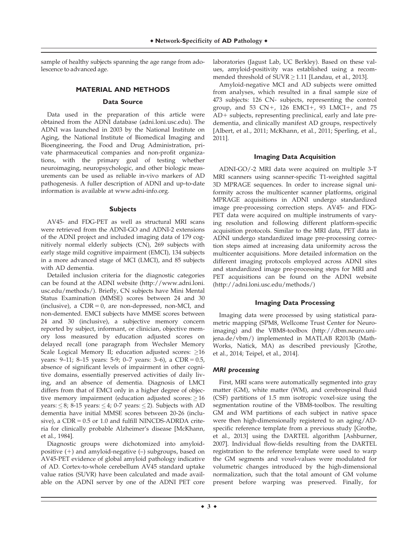sample of healthy subjects spanning the age range from adolescence to advanced age.

## **MATERIAL AND METHODS**

#### **Data Source**

Data used in the preparation of this article were obtained from the ADNI database (adni.loni.usc.edu). The ADNI was launched in 2003 by the National Institute on Aging, the National Institute of Biomedical Imaging and Bioengineering, the Food and Drug Administration, private pharmaceutical companies and non-profit organizations, with the primary goal of testing whether neuroimaging, neuropsychologic, and other biologic measurements can be used as reliable in-vivo markers of AD pathogenesis. A fuller description of ADNI and up-to-date information is available at [www.adni-info.org.](http://www.adni-info.org)

#### **Subjects**

AV45- and FDG-PET as well as structural MRI scans were retrieved from the ADNI-GO and ADNI-2 extensions of the ADNI project and included imaging data of 179 cognitively normal elderly subjects (CN), 269 subjects with early stage mild cognitive impairment (EMCI), 134 subjects in a more advanced stage of MCI (LMCI), and 85 subjects with AD dementia.

Detailed inclusion criteria for the diagnostic categories can be found at the ADNI website ([http://www.adni.loni.](http://www.adni.loni.usc.edu/methods) [usc.edu/methods/](http://www.adni.loni.usc.edu/methods)). Briefly, CN subjects have Mini Mental Status Examination (MMSE) scores between 24 and 30 (inclusive), a  $CDR = 0$ , are non-depressed, non-MCI, and non-demented. EMCI subjects have MMSE scores between 24 and 30 (inclusive), a subjective memory concern reported by subject, informant, or clinician, objective memory loss measured by education adjusted scores on delayed recall (one paragraph from Wechsler Memory Scale Logical Memory II; education adjusted scores:  $\geq$ 16 years:  $9-11$ ;  $8-15$  years:  $5-9$ ;  $0-7$  years:  $3-6$ ), a CDR = 0.5, absence of significant levels of impairment in other cognitive domains, essentially preserved activities of daily living, and an absence of dementia. Diagnosis of LMCI differs from that of EMCI only in a higher degree of objective memory impairment (education adjusted scores: $\geq$ 16 years:  $\leq$  8; 8-15 years:  $\leq$  4; 0-7 years:  $\leq$  2). Subjects with AD dementia have initial MMSE scores between 20-26 (inclusive), a  $CDR = 0.5$  or 1.0 and fulfill NINCDS-ADRDA criteria for clinically probable Alzheimer's disease [McKhann, et al., 1984].

Diagnostic groups were dichotomized into amyloidpositive  $(+)$  and amyloid-negative  $(-)$  subgroups, based on AV45-PET evidence of global amyloid pathology indicative of AD. Cortex-to-whole cerebellum AV45 standard uptake value ratios (SUVR) have been calculated and made available on the ADNI server by one of the ADNI PET core laboratories (Jagust Lab, UC Berkley). Based on these values, amyloid-positivity was established using a recommended threshold of SUVR $\geq$  1.11 [Landau, et al., 2013].

Amyloid-negative MCI and AD subjects were omitted from analyses, which resulted in a final sample size of 473 subjects: 126 CN- subjects, representing the control group, and 53  $CN+$ , 126  $EMCI+$ , 93  $LMCI+$ , and 75 AD+ subjects, representing preclinical, early and late predementia, and clinically manifest AD groups, respectively [Albert, et al., 2011; McKhann, et al., 2011; Sperling, et al., 2011].

#### **Imaging Data Acquisition**

ADNI-GO/-2 MRI data were acquired on multiple 3-T MRI scanners using scanner-specific T1-weighted sagittal 3D MPRAGE sequences. In order to increase signal uniformity across the multicenter scanner platforms, original MPRAGE acquisitions in ADNI undergo standardized image pre-processing correction steps. AV45- and FDG-PET data were acquired on multiple instruments of varying resolution and following different platform-specific acquisition protocols. Similar to the MRI data, PET data in ADNI undergo standardized image pre-processing correction steps aimed at increasing data uniformity across the multicenter acquisitions. More detailed information on the different imaging protocols employed across ADNI sites and standardized image pre-processing steps for MRI and PET acquisitions can be found on the ADNI website (<http://adni.loni.usc.edu/methods>/)

## **Imaging Data Processing**

Imaging data were processed by using statistical parametric mapping (SPM8, Wellcome Trust Center for Neuroimaging) and the VBM8-toolbox ([http://dbm.neuro.uni](http://dbm.neuro.uni-jena.de/vbm)[jena.de/vbm/](http://dbm.neuro.uni-jena.de/vbm)) implemented in MATLAB R2013b (Math-Works, Natick, MA) as described previously [Grothe, et al., 2014; Teipel, et al., 2014].

#### MRI processing

First, MRI scans were automatically segmented into gray matter (GM), white matter (WM), and cerebrospinal fluid (CSF) partitions of 1.5 mm isotropic voxel-size using the segmentation routine of the VBM8-toolbox. The resulting GM and WM partitions of each subject in native space were then high-dimensionally registered to an aging/ADspecific reference template from a previous study [Grothe, et al., 2013] using the DARTEL algorithm [Ashburner, 2007]. Individual flow-fields resulting from the DARTEL registration to the reference template were used to warp the GM segments and voxel-values were modulated for volumetric changes introduced by the high-dimensional normalization, such that the total amount of GM volume present before warping was preserved. Finally, for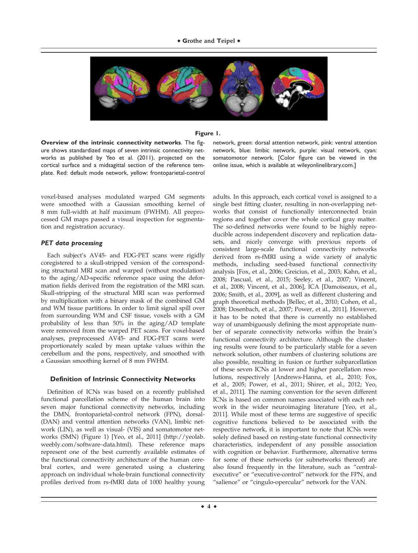## **+ Grothe and Teipel**  $\triangle$



#### **Figure 1.**

**Overview of the intrinsic connectivity networks**. The figure shows standardized maps of seven intrinsic connectivity networks as published by Yeo et al. (2011), projected on the cortical surface and a midsagittal section of the reference template. Red: default mode network, yellow: frontoparietal-control

voxel-based analyses modulated warped GM segments were smoothed with a Gaussian smoothing kernel of 8 mm full-width at half maximum (FWHM). All preprocessed GM maps passed a visual inspection for segmentation and registration accuracy.

## PET data processing

Each subject's AV45- and FDG-PET scans were rigidly coregistered to a skull-stripped version of the corresponding structural MRI scan and warped (without modulation) to the aging/AD-specific reference space using the deformation fields derived from the registration of the MRI scan. Skull-stripping of the structural MRI scan was performed by multiplication with a binary mask of the combined GM and WM tissue partitions. In order to limit signal spill over from surrounding WM and CSF tissue, voxels with a GM probability of less than 50% in the aging/AD template were removed from the warped PET scans. For voxel-based analyses, preprocessed AV45- and FDG-PET scans were proportionately scaled by mean uptake values within the cerebellum and the pons, respectively, and smoothed with a Gaussian smoothing kernel of 8 mm FWHM.

#### **Definition of Intrinsic Connectivity Networks**

Definition of ICNs was based on a recently published functional parcellation scheme of the human brain into seven major functional connectivity networks, including the DMN, frontoparietal-control network (FPN), dorsal- (DAN) and ventral attention networks (VAN), limbic network (LIN), as well as visual- (VIS) and somatomotor networks (SMN) (Figure 1) [Yeo, et al., 2011] [\(http://yeolab.](http://yeolab.weebly.com/software) [weebly.com/software–](http://yeolab.weebly.com/software)data.html). These reference maps represent one of the best currently available estimates of the functional connectivity architecture of the human cerebral cortex, and were generated using a clustering approach on individual whole-brain functional connectivity profiles derived from rs-fMRI data of 1000 healthy young

network, green: dorsal attention network, pink: ventral attention network, blue: limbic network, purple: visual network, cyan: somatomotor network. [Color figure can be viewed in the online issue, which is available at [wileyonlinelibrary.com.](http://wileyonlinelibrary.com)]

adults. In this approach, each cortical voxel is assigned to a single best fitting cluster, resulting in non-overlapping networks that consist of functionally interconnected brain regions and together cover the whole cortical gray matter. The so-defined networks were found to be highly reproducible across independent discovery and replication datasets, and nicely converge with previous reports of consistent large-scale functional connectivity networks derived from rs-fMRI using a wide variety of analytic methods, including seed-based functional connectivity analysis [Fox, et al., 2006; Greicius, et al., 2003; Kahn, et al., 2008; Pascual, et al., 2015; Seeley, et al., 2007; Vincent, et al., 2008; Vincent, et al., 2006], ICA [Damoiseaux, et al., 2006; Smith, et al., 2009], as well as different clustering and graph theoretical methods [Bellec, et al., 2010; Cohen, et al., 2008; Dosenbach, et al., 2007; Power, et al., 2011]. However, it has to be noted that there is currently no established way of unambiguously defining the most appropriate number of separate connectivity networks within the brain's functional connectivity architecture. Although the clustering results were found to be particularly stable for a seven network solution, other numbers of clustering solutions are also possible, resulting in fusion or further subparcellation of these seven ICNs at lower and higher parcellation resolutions, respectively [Andrews-Hanna, et al., 2010; Fox, et al., 2005; Power, et al., 2011; Shirer, et al., 2012; Yeo, et al., 2011]. The naming convention for the seven different ICNs is based on common names associated with each network in the wider neuroimaging literature [Yeo, et al., 2011]. While most of these terms are suggestive of specific cognitive functions believed to be associated with the respective network, it is important to note that ICNs were solely defined based on resting-state functional connectivity characteristics, independent of any possible association with cognition or behavior. Furthermore, alternative terms for some of these networks (or subnetworks thereof) are also found frequently in the literature, such as "centralexecutive" or "executive-control" network for the FPN, and "salience" or "cingulo-opercular" network for the VAN.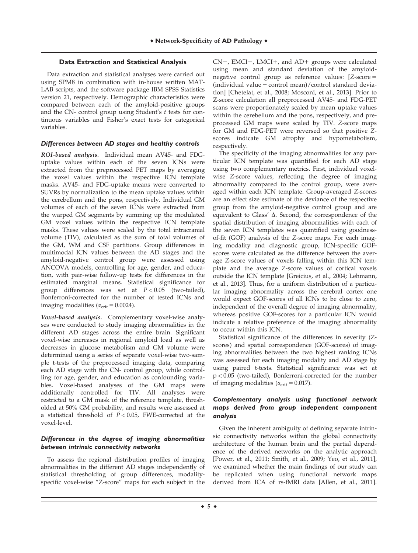## **Data Extraction and Statistical Analysis**

Data extraction and statistical analyses were carried out using SPM8 in combination with in-house written MAT-LAB scripts, and the software package IBM SPSS Statistics version 21, respectively. Demographic characteristics were compared between each of the amyloid-positive groups and the CN- control group using Student's t tests for continuous variables and Fisher's exact tests for categorical variables.

## Differences between AD stages and healthy controls

ROI-based analysis. Individual mean AV45- and FDGuptake values within each of the seven ICNs were extracted from the preprocessed PET maps by averaging the voxel values within the respective ICN template masks. AV45- and FDG-uptake means were converted to SUVRs by normalization to the mean uptake values within the cerebellum and the pons, respectively. Individual GM volumes of each of the seven ICNs were extracted from the warped GM segments by summing up the modulated GM voxel values within the respective ICN template masks. These values were scaled by the total intracranial volume (TIV), calculated as the sum of total volumes of the GM, WM and CSF partitions. Group differences in multimodal ICN values between the AD stages and the amyloid-negative control group were assessed using ANCOVA models, controlling for age, gender, and education, with pair-wise follow-up tests for differences in the estimated marginal means. Statistical significance for group differences was set at  $P < 0.05$  (two-tailed), Bonferroni-corrected for the number of tested ICNs and imaging modalities ( $\alpha_{\text{crit}}$  = 0.0024).

Voxel-based analysis. Complementary voxel-wise analyses were conducted to study imaging abnormalities in the different AD stages across the entire brain. Significant voxel-wise increases in regional amyloid load as well as decreases in glucose metabolism and GM volume were determined using a series of separate voxel-wise two-sample t-tests of the preprocessed imaging data, comparing each AD stage with the CN- control group, while controlling for age, gender, and education as confounding variables. Voxel-based analyses of the GM maps were additionally controlled for TIV. All analyses were restricted to a GM mask of the reference template, thresholded at 50% GM probability, and results were assessed at a statistical threshold of  $P < 0.05$ , FWE-corrected at the voxel-level.

## Differences in the degree of imaging abnormalities between intrinsic connectivity networks

To assess the regional distribution profiles of imaging abnormalities in the different AD stages independently of statistical thresholding of group differences, modalityspecific voxel-wise "Z-score" maps for each subject in the  $CN+$ , EMCI+, LMCI+, and  $AD+$  groups were calculated using mean and standard deviation of the amyloidnegative control group as reference values:  $[Z-score =$ (individual value  $-\text{control mean}$ )/control standard deviation] [Chetelat, et al., 2008; Mosconi, et al., 2013]. Prior to Z-score calculation all preprocessed AV45- and FDG-PET scans were proportionately scaled by mean uptake values within the cerebellum and the pons, respectively, and preprocessed GM maps were scaled by TIV. Z-score maps for GM and FDG-PET were reversed so that positive Zscores indicate GM atrophy and hypometabolism, respectively.

The specificity of the imaging abnormalities for any particular ICN template was quantified for each AD stage using two complementary metrics. First, individual voxelwise Z-score values, reflecting the degree of imaging abnormality compared to the control group, were averaged within each ICN template. Group-averaged Z-scores are an effect size estimate of the deviance of the respective group from the amyloid-negative control group and are equivalent to Glass'  $\Delta$ . Second, the correspondence of the spatial distribution of imaging abnormalities with each of the seven ICN templates was quantified using goodnessof-fit (GOF) analysis of the Z-score maps. For each imaging modality and diagnostic group, ICN-specific GOFscores were calculated as the difference between the average Z-score values of voxels falling within this ICN template and the average Z-score values of cortical voxels outside the ICN template [Greicius, et al., 2004; Lehmann, et al., 2013]. Thus, for a uniform distribution of a particular imaging abnormality across the cerebral cortex one would expect GOF-scores of all ICNs to be close to zero, independent of the overall degree of imaging abnormality, whereas positive GOF-scores for a particular ICN would indicate a relative preference of the imaging abnormality to occur within this ICN.

Statistical significance of the differences in severity (Zscores) and spatial correspondence (GOF-scores) of imaging abnormalities between the two highest ranking ICNs was assessed for each imaging modality and AD stage by using paired t-tests. Statistical significance was set at p < 0.05 (two-tailed), Bonferroni-corrected for the number of imaging modalities ( $\alpha_{\text{crit}} = 0.017$ ).

## Complementary analysis using functional network maps derived from group independent component analysis

Given the inherent ambiguity of defining separate intrinsic connectivity networks within the global connectivity architecture of the human brain and the partial dependence of the derived networks on the analytic approach [Power, et al., 2011; Smith, et al., 2009; Yeo, et al., 2011], we examined whether the main findings of our study can be replicated when using functional network maps derived from ICA of rs-fMRI data [Allen, et al., 2011].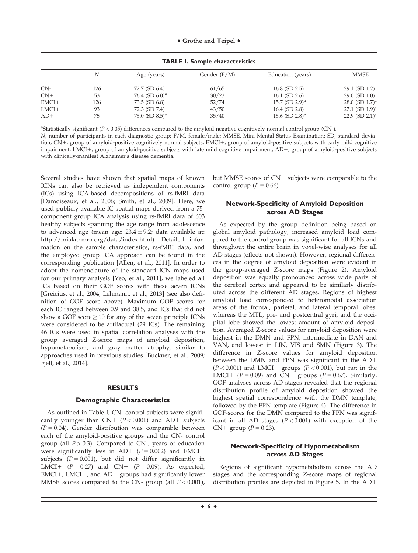| <b>TABLE I. Sample characteristics</b> |     |                               |              |                   |                               |  |  |
|----------------------------------------|-----|-------------------------------|--------------|-------------------|-------------------------------|--|--|
|                                        | N   | Age (years)                   | Gender (F/M) | Education (years) | <b>MMSE</b>                   |  |  |
| CN-                                    | 126 | 72.7 (SD 6.4)                 | 61/65        | $16.8$ (SD 2.5)   | 29.1 (SD 1.2)                 |  |  |
| $CN+$                                  | 53  | 76.4 (SD $6.0$ ) <sup>a</sup> | 30/23        | $16.1$ (SD 2.6)   | $29.0$ (SD $1.0$ )            |  |  |
| $EMCI+$                                | 126 | 73.5 (SD 6.8)                 | 52/74        | 15.7 (SD $2.9)^a$ | 28.0 (SD $1.7$ ) <sup>a</sup> |  |  |
| $LMCI+$                                | 93  | 72.3 (SD 7.4)                 | 43/50        | $16.4$ (SD 2.8)   | 27.1 $(SD 1.9)^a$             |  |  |
| $AD+$                                  | 75  | 75.0 (SD $8.5$ ) <sup>a</sup> | 35/40        | 15.6 $(SD 2.8)^a$ | 22.9 (SD $2.1$ ) <sup>a</sup> |  |  |

a Statistically significant (P < 0.05) differences compared to the amyloid-negative cognitively normal control group (CN-).

N, number of participants in each diagnostic group; F/M, female/male; MMSE, Mini Mental Status Examination; SD, standard deviation; CN+, group of amyloid-positive cognitively normal subjects; EMCI+, group of amyloid-positive subjects with early mild cognitive impairment; LMCI+, group of amyloid-positive subjects with late mild cognitive impairment; AD+, group of amyloid-positive subjects with clinically-manifest Alzheimer's disease dementia.

Several studies have shown that spatial maps of known ICNs can also be retrieved as independent components (ICs) using ICA-based decompositions of rs-fMRI data [Damoiseaux, et al., 2006; Smith, et al., 2009]. Here, we used publicly available IC spatial maps derived from a 75 component group ICA analysis using rs-fMRI data of 603 healthy subjects spanning the age range from adolescence to advanced age (mean age:  $23.4 \pm 9.2$ ; data available at: <http://mialab.mrn.org/data/index.html>). Detailed information on the sample characteristics, rs-fMRI data, and the employed group ICA approach can be found in the corresponding publication [Allen, et al., 2011]. In order to adopt the nomenclature of the standard ICN maps used for our primary analysis [Yeo, et al., 2011], we labeled all ICs based on their GOF scores with these seven ICNs [Greicius, et al., 2004; Lehmann, et al., 2013] (see also definition of GOF score above). Maximum GOF scores for each IC ranged between 0.9 and 38.5, and ICs that did not show a GOF score  $\geq 10$  for any of the seven principle ICNs were considered to be artifactual (29 ICs). The remaining 46 ICs were used in spatial correlation analyses with the group averaged Z-score maps of amyloid deposition, hypometabolism, and gray matter atrophy, similar to approaches used in previous studies [Buckner, et al., 2009; Fjell, et al., 2014].

#### **RESULTS**

#### **Demographic Characteristics**

As outlined in Table I, CN- control subjects were significantly younger than  $CN+$  ( $P < 0.001$ ) and  $AD+$  subjects  $(P = 0.04)$ . Gender distribution was comparable between each of the amyloid-positive groups and the CN- control group (all  $P > 0.3$ ). Compared to CN-, years of education were significantly less in AD+  $(P = 0.002)$  and EMCI+ subjects  $(P = 0.001)$ , but did not differ significantly in LMCI+  $(P = 0.27)$  and CN+  $(P = 0.09)$ . As expected,  $EMCI+$ , LMCI+, and AD+ groups had significantly lower MMSE scores compared to the CN- group (all  $P < 0.001$ ), but MMSE scores of CN+ subjects were comparable to the control group ( $P = 0.66$ ).

## **Network-Specificity of Amyloid Deposition across AD Stages**

As expected by the group definition being based on global amyloid pathology, increased amyloid load compared to the control group was significant for all ICNs and throughout the entire brain in voxel-wise analyses for all AD stages (effects not shown). However, regional differences in the degree of amyloid deposition were evident in the group-averaged Z-score maps (Figure 2). Amyloid deposition was equally pronounced across wide parts of the cerebral cortex and appeared to be similarly distributed across the different AD stages. Regions of highest amyloid load corresponded to heteromodal association areas of the frontal, parietal, and lateral temporal lobes, whereas the MTL, pre- and postcentral gyri, and the occipital lobe showed the lowest amount of amyloid deposition. Averaged Z-score values for amyloid deposition were highest in the DMN and FPN, intermediate in DAN and VAN, and lowest in LIN, VIS and SMN (Figure 3). The difference in Z-score values for amyloid deposition between the DMN and FPN was significant in the AD+  $(P < 0.001)$  and LMCI+ groups  $(P < 0.001)$ , but not in the EMCI+ ( $P = 0.09$ ) and CN+ groups ( $P = 0.67$ ). Similarly, GOF analyses across AD stages revealed that the regional distribution profile of amyloid deposition showed the highest spatial correspondence with the DMN template, followed by the FPN template (Figure 4). The difference in GOF-scores for the DMN compared to the FPN was significant in all AD stages ( $P < 0.001$ ) with exception of the  $CN+$  group ( $P = 0.23$ ).

## **Network-Specificity of Hypometabolism across AD Stages**

Regions of significant hypometabolism across the AD stages and the corresponding Z-score maps of regional distribution profiles are depicted in Figure 5. In the  $AD+$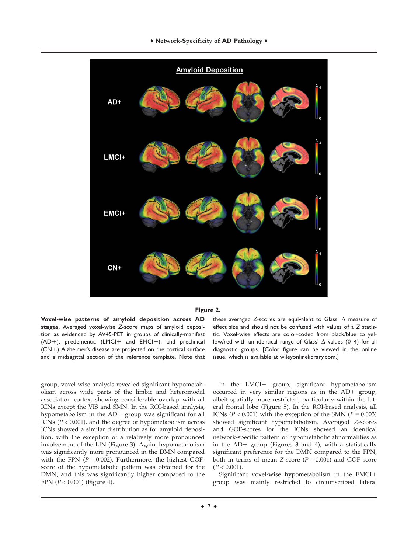

#### **Figure 2.**

**Voxel-wise patterns of amyloid deposition across AD stages**. Averaged voxel-wise *Z*-score maps of amyloid deposition as evidenced by AV45-PET in groups of clinically-manifest  $(AD+)$ , predementia  $(LMCI+)$  and  $EMCI+)$ , and preclinical  $(CN+)$  Alzheimer's disease are projected on the cortical surface and a midsagittal section of the reference template. Note that

group, voxel-wise analysis revealed significant hypometabolism across wide parts of the limbic and heteromodal association cortex, showing considerable overlap with all ICNs except the VIS and SMN. In the ROI-based analysis, hypometabolism in the AD+ group was significant for all ICNs ( $P < 0.001$ ), and the degree of hypometabolism across ICNs showed a similar distribution as for amyloid deposition, with the exception of a relatively more pronounced involvement of the LIN (Figure 3). Again, hypometabolism was significantly more pronounced in the DMN compared with the FPN  $(P = 0.002)$ . Furthermore, the highest GOFscore of the hypometabolic pattern was obtained for the DMN, and this was significantly higher compared to the FPN ( $P < 0.001$ ) (Figure 4).

these averaged Z-scores are equivalent to Glass'  $\Delta$  measure of effect size and should not be confused with values of a *Z* statistic. Voxel-wise effects are color-coded from black/blue to yellow/red with an identical range of Glass'  $\Delta$  values (0-4) for all diagnostic groups. [Color figure can be viewed in the online issue, which is available at [wileyonlinelibrary.com.](http://wileyonlinelibrary.com)]

In the LMCI+ group, significant hypometabolism occurred in very similar regions as in the  $AD+$  group, albeit spatially more restricted, particularly within the lateral frontal lobe (Figure 5). In the ROI-based analysis, all ICNs ( $P < 0.001$ ) with the exception of the SMN ( $P = 0.003$ ) showed significant hypometabolism. Averaged Z-scores and GOF-scores for the ICNs showed an identical network-specific pattern of hypometabolic abnormalities as in the  $AD+$  group (Figures 3 and 4), with a statistically significant preference for the DMN compared to the FPN, both in terms of mean Z-score ( $P = 0.001$ ) and GOF score  $(P < 0.001)$ .

Significant voxel-wise hypometabolism in the  $EMCI+$ group was mainly restricted to circumscribed lateral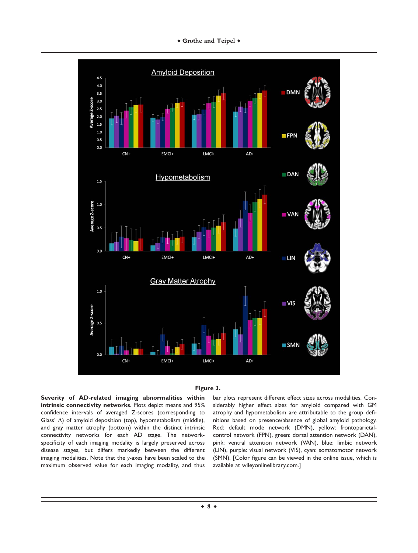



**Severity of AD-related imaging abnormalities within intrinsic connectivity networks**. Plots depict means and 95% confidence intervals of averaged Z-scores (corresponding to Glass'  $\Delta$ ) of amyloid deposition (top), hypometabolism (middle), and gray matter atrophy (bottom) within the distinct intrinsic connectivity networks for each AD stage. The networkspecificity of each imaging modality is largely preserved across disease stages, but differs markedly between the different imaging modalities. Note that the *y*-axes have been scaled to the maximum observed value for each imaging modality, and thus

bar plots represent different effect sizes across modalities. Considerably higher effect sizes for amyloid compared with GM atrophy and hypometabolism are attributable to the group definitions based on presence/absence of global amyloid pathology. Red: default mode network (DMN), yellow: frontoparietalcontrol network (FPN), green: dorsal attention network (DAN), pink: ventral attention network (VAN), blue: limbic network (LIN), purple: visual network (VIS), cyan: somatomotor network (SMN). [Color figure can be viewed in the online issue, which is available at [wileyonlinelibrary.com](http://wileyonlinelibrary.com).]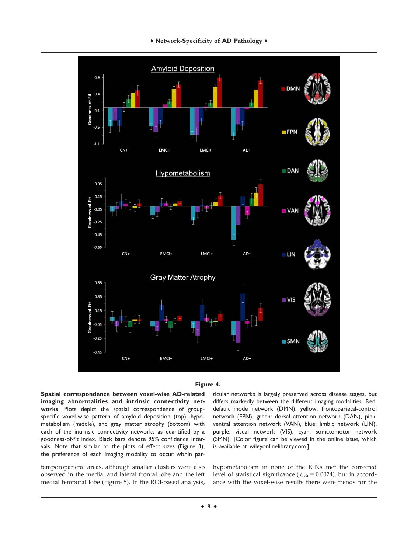



**Spatial correspondence between voxel-wise AD-related imaging abnormalities and intrinsic connectivity networks**. Plots depict the spatial correspondence of groupspecific voxel-wise pattern of amyloid deposition (top), hypometabolism (middle), and gray matter atrophy (bottom) with each of the intrinsic connectivity networks as quantified by a goodness-of-fit index. Black bars denote 95% confidence intervals. Note that similar to the plots of effect sizes (Figure 3), the preference of each imaging modality to occur within par-

temporoparietal areas, although smaller clusters were also observed in the medial and lateral frontal lobe and the left medial temporal lobe (Figure 5). In the ROI-based analysis, ticular networks is largely preserved across disease stages, but differs markedly between the different imaging modalities. Red: default mode network (DMN), yellow: frontoparietal-control network (FPN), green: dorsal attention network (DAN), pink: ventral attention network (VAN), blue: limbic network (LIN), purple: visual network (VIS), cyan: somatomotor network (SMN). [Color figure can be viewed in the online issue, which is available at [wileyonlinelibrary.com](http://wileyonlinelibrary.com).]

hypometabolism in none of the ICNs met the corrected level of statistical significance ( $\alpha_{\text{crit}}$  = 0.0024), but in accordance with the voxel-wise results there were trends for the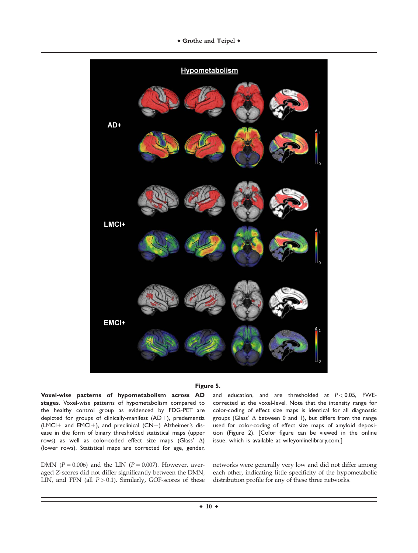## **+ Grothe and Teipel**  $\triangle$





**Voxel-wise patterns of hypometabolism across AD stages**. Voxel-wise patterns of hypometabolism compared to the healthy control group as evidenced by FDG-PET are depicted for groups of clinically-manifest  $(AD+)$ , predementia (LMCI+ and EMCI+), and preclinical (CN+) Alzheimer's disease in the form of binary thresholded statistical maps (upper rows) as well as color-coded effect size maps (Glass'  $\Delta$ ) (lower rows). Statistical maps are corrected for age, gender,

DMN ( $P = 0.006$ ) and the LIN ( $P = 0.007$ ). However, averaged Z-scores did not differ significantly between the DMN, LIN, and FPN (all  $P > 0.1$ ). Similarly, GOF-scores of these and education, and are thresholded at *P* < 0.05, FWEcorrected at the voxel-level. Note that the intensity range for color-coding of effect size maps is identical for all diagnostic groups (Glass'  $\Delta$  between 0 and 1), but differs from the range used for color-coding of effect size maps of amyloid deposition (Figure 2). [Color figure can be viewed in the online issue, which is available at [wileyonlinelibrary.com.](http://wileyonlinelibrary.com)]

networks were generally very low and did not differ among each other, indicating little specificity of the hypometabolic distribution profile for any of these three networks.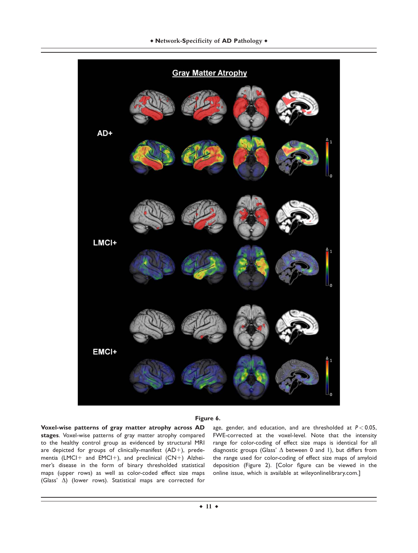



**Voxel-wise patterns of gray matter atrophy across AD stages**. Voxel-wise patterns of gray matter atrophy compared to the healthy control group as evidenced by structural MRI are depicted for groups of clinically-manifest  $(AD+)$ , predementia (LMCI+ and EMCI+), and preclinical (CN+) Alzheimer's disease in the form of binary thresholded statistical maps (upper rows) as well as color-coded effect size maps (Glass'  $\Delta$ ) (lower rows). Statistical maps are corrected for

age, gender, and education, and are thresholded at *P* < 0.05, FWE-corrected at the voxel-level. Note that the intensity range for color-coding of effect size maps is identical for all diagnostic groups (Glass'  $\Delta$  between 0 and 1), but differs from the range used for color-coding of effect size maps of amyloid deposition (Figure 2). [Color figure can be viewed in the online issue, which is available at [wileyonlinelibrary.com](http://wileyonlinelibrary.com).]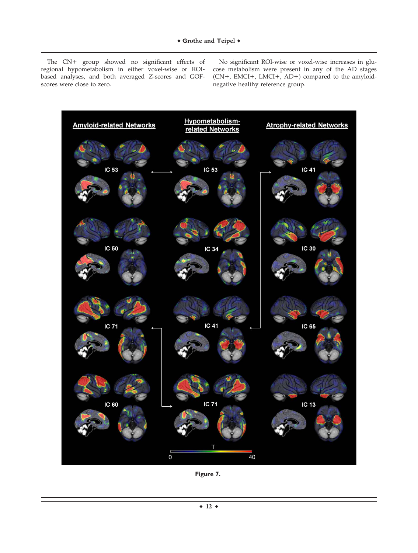The CN+ group showed no significant effects of regional hypometabolism in either voxel-wise or ROIbased analyses, and both averaged Z-scores and GOFscores were close to zero.

No significant ROI-wise or voxel-wise increases in glucose metabolism were present in any of the AD stages  $(CN+$ , EMCI+, LMCI+, AD+) compared to the amyloidnegative healthy reference group.



**Figure 7.**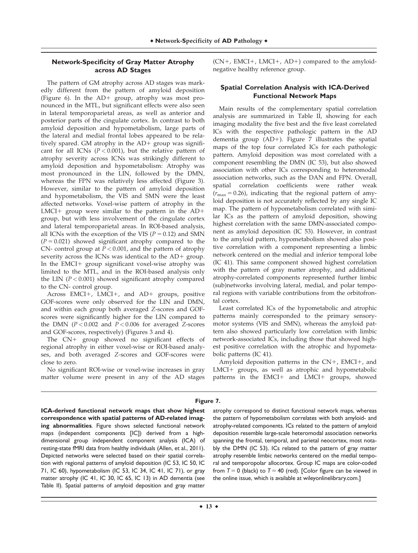## **Network-Specificity of Gray Matter Atrophy across AD Stages**

The pattern of GM atrophy across AD stages was markedly different from the pattern of amyloid deposition (Figure 6). In the  $AD+$  group, atrophy was most pronounced in the MTL, but significant effects were also seen in lateral temporoparietal areas, as well as anterior and posterior parts of the cingulate cortex. In contrast to both amyloid deposition and hypometabolism, large parts of the lateral and medial frontal lobes appeared to be relatively spared. GM atrophy in the  $AD+$  group was significant for all ICNs ( $P < 0.001$ ), but the relative pattern of atrophy severity across ICNs was strikingly different to amyloid deposition and hypometabolism: Atrophy was most pronounced in the LIN, followed by the DMN, whereas the FPN was relatively less affected (Figure 3). However, similar to the pattern of amyloid deposition and hypometabolism, the VIS and SMN were the least affected networks. Voxel-wise pattern of atrophy in the LMCI+ group were similar to the pattern in the  $AD+$ group, but with less involvement of the cingulate cortex and lateral temporoparietal areas. In ROI-based analysis, all ICNs with the exception of the VIS ( $P = 0.12$ ) and SMN  $(P = 0.021)$  showed significant atrophy compared to the CN- control group at  $P < 0.001$ , and the pattern of atrophy severity across the ICNs was identical to the  $AD+$  group. In the EMCI+ group significant voxel-wise atrophy was limited to the MTL, and in the ROI-based analysis only the LIN ( $P < 0.001$ ) showed significant atrophy compared to the CN- control group.

Across EMCI+, LMCI+, and AD+ groups, positive GOF-scores were only observed for the LIN and DMN, and within each group both averaged Z-scores and GOFscores were significantly higher for the LIN compared to the DMN ( $P < 0.002$  and  $P < 0.006$  for averaged Z-scores and GOF-scores, respectively) (Figures 3 and 4).

The CN+ group showed no significant effects of regional atrophy in either voxel-wise or ROI-based analyses, and both averaged Z-scores and GOF-scores were close to zero.

No significant ROI-wise or voxel-wise increases in gray matter volume were present in any of the AD stages  $(CN+$ , EMCI+, LMCI+, AD+) compared to the amyloidnegative healthy reference group.

## **Spatial Correlation Analysis with ICA-Derived Functional Network Maps**

Main results of the complementary spatial correlation analysis are summarized in Table II, showing for each imaging modality the five best and the five least correlated ICs with the respective pathologic pattern in the AD dementia group  $(AD+)$ . Figure 7 illustrates the spatial maps of the top four correlated ICs for each pathologic pattern. Amyloid deposition was most correlated with a component resembling the DMN (IC 53), but also showed association with other ICs corresponding to heteromodal association networks, such as the DAN and FPN. Overall, spatial correlation coefficients were rather weak  $(r<sub>max</sub> = 0.26)$ , indicating that the regional pattern of amyloid deposition is not accurately reflected by any single IC map. The pattern of hypometabolism correlated with similar ICs as the pattern of amyloid deposition, showing highest correlation with the same DMN-associated component as amyloid deposition (IC 53). However, in contrast to the amyloid pattern, hypometabolism showed also positive correlation with a component representing a limbic network centered on the medial and inferior temporal lobe (IC 41). This same component showed highest correlation with the pattern of gray matter atrophy, and additional atrophy-correlated components represented further limbic (sub)networks involving lateral, medial, and polar temporal regions with variable contributions from the orbitofrontal cortex.

Least correlated ICs of the hypometabolic and atrophic patterns mainly corresponded to the primary sensorymotor systems (VIS and SMN), whereas the amyloid pattern also showed particularly low correlation with limbic network-associated ICs, including those that showed highest positive correlation with the atrophic and hypometabolic patterns (IC 41).

Amyloid deposition patterns in the  $CN+$ , EMCI+, and LMCI+ groups, as well as atrophic and hypometabolic patterns in the EMCI+ and LMCI+ groups, showed

#### **Figure 7.**

**ICA-derived functional network maps that show highest correspondence with spatial patterns of AD-related imaging abnormalities**. Figure shows selected functional network maps (independent components [IC]) derived from a highdimensional group independent component analysis (ICA) of resting-state fMRI data from healthy individuals (Allen, et al., 2011). Depicted networks were selected based on their spatial correlation with regional patterns of amyloid deposition (IC 53, IC 50, IC 71, IC 60), hypometabolism (IC 53, IC 34, IC 41, IC 71), or gray matter atrophy (IC 41, IC 30, IC 65, IC 13) in AD dementia (see Table II). Spatial patterns of amyloid deposition and gray matter

atrophy correspond to distinct functional network maps, whereas the pattern of hypometabolism correlates with both amyloid- and atrophy-related components. ICs related to the pattern of amyloid deposition resemble large-scale heteromodal association networks spanning the frontal, temporal, and parietal neocortex, most notably the DMN (IC 53). ICs related to the pattern of gray matter atrophy resemble limbic networks centered on the medial temporal and temporopolar allocortex. Group IC maps are color-coded from  $T = 0$  (black) to  $T = 40$  (red). [Color figure can be viewed in the online issue, which is available at [wileyonlinelibrary.com.](http://wileyonlinelibrary.com)]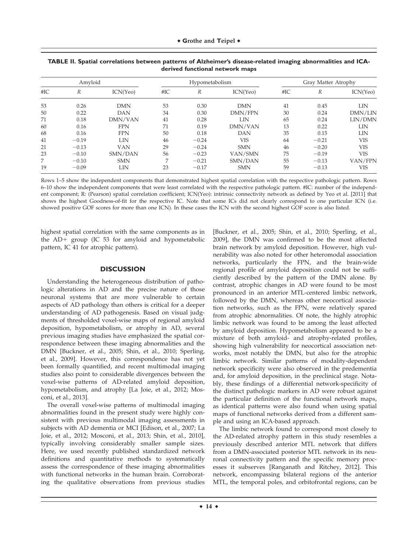| Amyloid |              |            | Hypometabolism |         |            | Gray Matter Atrophy |         |            |
|---------|--------------|------------|----------------|---------|------------|---------------------|---------|------------|
| #IC     | $\mathbb{R}$ | ICN(Yeo)   | #IC            | R       | ICN(Yeo)   | #IC                 | R       | ICN(Yeo)   |
| 53      | 0.26         | <b>DMN</b> | 53             | 0.30    | <b>DMN</b> | 41                  | 0.45    | LIN        |
| 50      | 0.22         | DAN        | 34             | 0.30    | DMN/FPN    | 30                  | 0.24    | DMN/LIN    |
| 71      | 0.18         | DMN/VAN    | 41             | 0.28    | LIN        | 65                  | 0.24    | LIN/DMN    |
| 60      | 0.16         | <b>FPN</b> | 71             | 0.19    | DMN/VAN    | 13                  | 0.22    | LIN        |
| 68      | 0.16         | <b>FPN</b> | 50             | 0.18    | <b>DAN</b> | 35                  | 0.15    | LIN        |
| 41      | $-0.19$      | LIN        | 46             | $-0.24$ | <b>VIS</b> | 64                  | $-0.21$ | <b>VIS</b> |
| 21      | $-0.13$      | <b>VAN</b> | 29             | $-0.24$ | <b>SMN</b> | 46                  | $-0.20$ | <b>VIS</b> |
| 23      | $-0.10$      | SMN/DAN    | 56             | $-0.23$ | VAN/SMN    | 75                  | $-0.19$ | <b>VIS</b> |
| 7       | $-0.10$      | <b>SMN</b> | $\overline{ }$ | $-0.21$ | SMN/DAN    | 55                  | $-0.13$ | VAN/FPN    |
| 19      | $-0.09$      | LIN        | 23             | $-0.17$ | <b>SMN</b> | 59                  | $-0.13$ | <b>VIS</b> |

| TABLE II. Spatial correlations between patterns of Alzheimer's disease-related imaging abnormalities and ICA- |
|---------------------------------------------------------------------------------------------------------------|
| derived functional network maps                                                                               |

Rows 1–5 show the independent components that demonstrated highest spatial correlation with the respective pathologic pattern. Rows 6–10 show the independent components that were least correlated with the respective pathologic pattern. #IC: number of the independent component; R: (Pearson) spatial correlation coefficient; ICN(Yeo): intrinsic connectivity network as defined by Yeo et al. [2011] that shows the highest Goodness-of-fit for the respective IC. Note that some ICs did not clearly correspond to one particular ICN (i.e. showed positive GOF scores for more than one ICN). In these cases the ICN with the second highest GOF score is also listed.

highest spatial correlation with the same components as in the  $AD+$  group (IC 53 for amyloid and hypometabolic pattern, IC 41 for atrophic pattern).

#### **DISCUSSION**

Understanding the heterogeneous distribution of pathologic alterations in AD and the precise nature of those neuronal systems that are more vulnerable to certain aspects of AD pathology than others is critical for a deeper understanding of AD pathogenesis. Based on visual judgments of thresholded voxel-wise maps of regional amyloid deposition, hypometabolism, or atrophy in AD, several previous imaging studies have emphasized the spatial correspondence between these imaging abnormalities and the DMN [Buckner, et al., 2005; Shin, et al., 2010; Sperling, et al., 2009]. However, this correspondence has not yet been formally quantified, and recent multimodal imaging studies also point to considerable divergences between the voxel-wise patterns of AD-related amyloid deposition, hypometabolism, and atrophy [La Joie, et al., 2012; Mosconi, et al., 2013].

The overall voxel-wise patterns of multimodal imaging abnormalities found in the present study were highly consistent with previous multimodal imaging assessments in subjects with AD dementia or MCI [Edison, et al., 2007; La Joie, et al., 2012; Mosconi, et al., 2013; Shin, et al., 2010], typically involving considerably smaller sample sizes. Here, we used recently published standardized network definitions and quantitative methods to systematically assess the correspondence of these imaging abnormalities with functional networks in the human brain. Corroborating the qualitative observations from previous studies

[Buckner, et al., 2005; Shin, et al., 2010; Sperling, et al., 2009], the DMN was confirmed to be the most affected brain network by amyloid deposition. However, high vulnerability was also noted for other heteromodal association networks, particularly the FPN, and the brain-wide regional profile of amyloid deposition could not be sufficiently described by the pattern of the DMN alone. By contrast, atrophic changes in AD were found to be most pronounced in an anterior MTL-centered limbic network, followed by the DMN, whereas other neocortical association networks, such as the FPN, were relatively spared from atrophic abnormalities. Of note, the highly atrophic limbic network was found to be among the least affected by amyloid deposition. Hypometabolism appeared to be a mixture of both amyloid- and atrophy-related profiles, showing high vulnerability for neocortical association networks, most notably the DMN, but also for the atrophic limbic network. Similar patterns of modality-dependent network specificity were also observed in the predementia and, for amyloid deposition, in the preclinical stage. Notably, these findings of a differential network-specificity of the distinct pathologic markers in AD were robust against the particular definition of the functional network maps, as identical patterns were also found when using spatial maps of functional networks derived from a different sample and using an ICA-based approach.

The limbic network found to correspond most closely to the AD-related atrophy pattern in this study resembles a previously described anterior MTL network that differs from a DMN-associated posterior MTL network in its neuronal connectivity pattern and the specific memory processes it subserves [Ranganath and Ritchey, 2012]. This network, encompassing bilateral regions of the anterior MTL, the temporal poles, and orbitofrontal regions, can be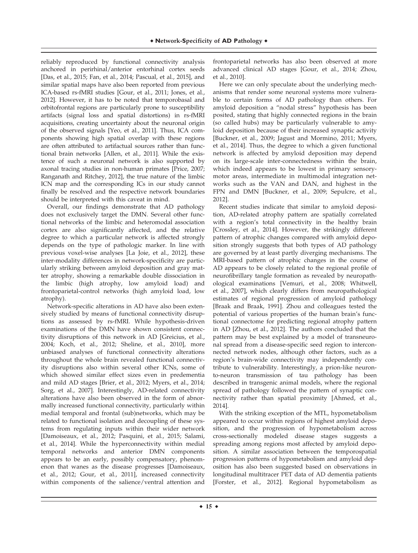reliably reproduced by functional connectivity analysis anchored in perirhinal/anterior entorhinal cortex seeds [Das, et al., 2015; Fan, et al., 2014; Pascual, et al., 2015], and similar spatial maps have also been reported from previous ICA-based rs-fMRI studies [Gour, et al., 2011; Jones, et al., 2012]. However, it has to be noted that temporobasal and orbitofrontal regions are particularly prone to susceptibility artifacts (signal loss and spatial distortions) in rs-fMRI acquisitions, creating uncertainty about the neuronal origin of the observed signals [Yeo, et al., 2011]. Thus, ICA components showing high spatial overlap with these regions are often attributed to artifactual sources rather than functional brain networks [Allen, et al., 2011]. While the existence of such a neuronal network is also supported by axonal tracing studies in non-human primates [Price, 2007; Ranganath and Ritchey, 2012], the true nature of the limbic ICN map and the corresponding ICs in our study cannot finally be resolved and the respective network boundaries should be interpreted with this caveat in mind.

Overall, our findings demonstrate that AD pathology does not exclusively target the DMN. Several other functional networks of the limbic and heteromodal association cortex are also significantly affected, and the relative degree to which a particular network is affected strongly depends on the type of pathologic marker. In line with previous voxel-wise analyses [La Joie, et al., 2012], these inter-modality differences in network-specificity are particularly striking between amyloid deposition and gray matter atrophy, showing a remarkable double dissociation in the limbic (high atrophy, low amyloid load) and frontoparietal-control networks (high amyloid load, low atrophy).

Network-specific alterations in AD have also been extensively studied by means of functional connectivity disruptions as assessed by rs-fMRI. While hypothesis-driven examinations of the DMN have shown consistent connectivity disruptions of this network in AD [Greicius, et al., 2004; Koch, et al., 2012; Sheline, et al., 2010], more unbiased analyses of functional connectivity alterations throughout the whole brain revealed functional connectivity disruptions also within several other ICNs, some of which showed similar effect sizes even in predementia and mild AD stages [Brier, et al., 2012; Myers, et al., 2014; Sorg, et al., 2007]. Interestingly, AD-related connectivity alterations have also been observed in the form of abnormally increased functional connectivity, particularly within medial temporal and frontal (sub)networks, which may be related to functional isolation and decoupling of these systems from regulating inputs within their wider network [Damoiseaux, et al., 2012; Pasquini, et al., 2015; Salami, et al., 2014]. While the hyperconnectivity within medial temporal networks and anterior DMN components appears to be an early, possibly compensatory, phenomenon that wanes as the disease progresses [Damoiseaux, et al., 2012; Gour, et al., 2011], increased connectivity within components of the salience/ventral attention and

frontoparietal networks has also been observed at more advanced clinical AD stages [Gour, et al., 2014; Zhou, et al., 2010].

Here we can only speculate about the underlying mechanisms that render some neuronal systems more vulnerable to certain forms of AD pathology than others. For amyloid deposition a "nodal stress" hypothesis has been posited, stating that highly connected regions in the brain (so called hubs) may be particularly vulnerable to amyloid deposition because of their increased synaptic activity [Buckner, et al., 2009; Jagust and Mormino, 2011; Myers, et al., 2014]. Thus, the degree to which a given functional network is affected by amyloid deposition may depend on its large-scale inter-connectedness within the brain, which indeed appears to be lowest in primary sensorymotor areas, intermediate in multimodal integration networks such as the VAN and DAN, and highest in the FPN and DMN [Buckner, et al., 2009; Sepulcre, et al., 2012].

Recent studies indicate that similar to amyloid deposition, AD-related atrophy pattern are spatially correlated with a region's total connectivity in the healthy brain [Crossley, et al., 2014]. However, the strikingly different pattern of atrophic changes compared with amyloid deposition strongly suggests that both types of AD pathology are governed by at least partly diverging mechanisms. The MRI-based pattern of atrophic changes in the course of AD appears to be closely related to the regional profile of neurofibrillary tangle formation as revealed by neuropathological examinations [Vemuri, et al., 2008; Whitwell, et al., 2007], which clearly differs from neuropathological estimates of regional progression of amyloid pathology [Braak and Braak, 1991]. Zhou and colleagues tested the potential of various properties of the human brain's functional connectome for predicting regional atrophy pattern in AD [Zhou, et al., 2012]. The authors concluded that the pattern may be best explained by a model of transneuronal spread from a disease-specific seed region to interconnected network nodes, although other factors, such as a region's brain-wide connectivity may independently contribute to vulnerability. Interestingly, a prion-like neuronto-neuron transmission of tau pathology has been described in transgenic animal models, where the regional spread of pathology followed the pattern of synaptic connectivity rather than spatial proximity [Ahmed, et al., 2014].

With the striking exception of the MTL, hypometabolism appeared to occur within regions of highest amyloid deposition, and the progression of hypometabolism across cross-sectionally modeled disease stages suggests a spreading among regions most affected by amyloid deposition. A similar association between the temporospatial progression patterns of hypometabolism and amyloid deposition has also been suggested based on observations in longitudinal multitracer PET data of AD dementia patients [Forster, et al., 2012]. Regional hypometabolism as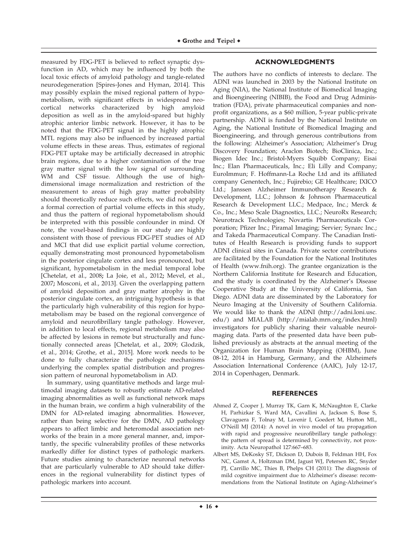measured by FDG-PET is believed to reflect synaptic dysfunction in AD, which may be influenced by both the local toxic effects of amyloid pathology and tangle-related neurodegeneration [Spires-Jones and Hyman, 2014]. This may possibly explain the mixed regional pattern of hypometabolism, with significant effects in widespread neocortical networks characterized by high amyloid deposition as well as in the amyloid-spared but highly atrophic anterior limbic network. However, it has to be noted that the FDG-PET signal in the highly atrophic MTL regions may also be influenced by increased partial volume effects in these areas. Thus, estimates of regional FDG-PET uptake may be artificially decreased in atrophic brain regions, due to a higher contamination of the true gray matter signal with the low signal of surrounding WM and CSF tissue. Although the use of highdimensional image normalization and restriction of the measurement to areas of high gray matter probability should theoretically reduce such effects, we did not apply a formal correction of partial volume effects in this study, and thus the pattern of regional hypometabolism should be interpreted with this possible confounder in mind. Of note, the voxel-based findings in our study are highly consistent with those of previous FDG-PET studies of AD and MCI that did use explicit partial volume correction, equally demonstrating most pronounced hypometabolism in the posterior cingulate cortex and less pronounced, but significant, hypometabolism in the medial temporal lobe [Chetelat, et al., 2008; La Joie, et al., 2012; Mevel, et al., 2007; Mosconi, et al., 2013]. Given the overlapping pattern of amyloid deposition and gray matter atrophy in the posterior cingulate cortex, an intriguing hypothesis is that the particularly high vulnerability of this region for hypometabolism may be based on the regional convergence of amyloid and neurofibrillary tangle pathology. However, in addition to local effects, regional metabolism may also be affected by lesions in remote but structurally and functionally connected areas [Chetelat, et al., 2009; Glodzik, et al., 2014; Grothe, et al., 2015]. More work needs to be done to fully characterize the pathologic mechanisms underlying the complex spatial distribution and progression pattern of neuronal hypometabolism in AD.

In summary, using quantitative methods and large multimodal imaging datasets to robustly estimate AD-related imaging abnormalities as well as functional network maps in the human brain, we confirm a high vulnerability of the DMN for AD-related imaging abnormalities. However, rather than being selective for the DMN, AD pathology appears to affect limbic and heteromodal association networks of the brain in a more general manner, and, importantly, the specific vulnerability profiles of these networks markedly differ for distinct types of pathologic markers. Future studies aiming to characterize neuronal networks that are particularly vulnerable to AD should take differences in the regional vulnerability for distinct types of pathologic markers into account.

#### **ACKNOWLEDGMENTS**

The authors have no conflicts of interests to declare. The ADNI was launched in 2003 by the National Institute on Aging (NIA), the National Institute of Biomedical Imaging and Bioengineering (NIBIB), the Food and Drug Administration (FDA), private pharmaceutical companies and nonprofit organizations, as a \$60 million, 5-year public-private partnership. ADNI is funded by the National Institute on Aging, the National Institute of Biomedical Imaging and Bioengineering, and through generous contributions from the following: Alzheimer's Association; Alzheimer's Drug Discovery Foundation; Araclon Biotech; BioClinica, Inc.; Biogen Idec Inc.; Bristol-Myers Squibb Company; Eisai Inc.; Elan Pharmaceuticals, Inc.; Eli Lilly and Company; EuroImmun; F. Hoffmann-La Roche Ltd and its affiliated company Genentech, Inc.; Fujirebio; GE Healthcare; IXICO Ltd.; Janssen Alzheimer Immunotherapy Research & Development, LLC.; Johnson & Johnson Pharmaceutical Research & Development LLC.; Medpace, Inc.; Merck & Co., Inc.; Meso Scale Diagnostics, LLC.; NeuroRx Research; Neurotrack Technologies; Novartis Pharmaceuticals Corporation; Pfizer Inc.; Piramal Imaging; Servier; Synarc Inc.; and Takeda Pharmaceutical Company. The Canadian Institutes of Health Research is providing funds to support ADNI clinical sites in Canada. Private sector contributions are facilitated by the Foundation for the National Institutes of Health [\(www.fnih.org\)](http://www.fnih.org). The grantee organization is the Northern California Institute for Research and Education, and the study is coordinated by the Alzheimer's Disease Cooperative Study at the University of California, San Diego. ADNI data are disseminated by the Laboratory for Neuro Imaging at the University of Southern California. We would like to thank the ADNI [\(http://adni.loni.usc.](http://adni.loni.usc.edu) [edu](http://adni.loni.usc.edu)/) and MIALAB ([http://mialab.mrn.org/index.html\)](http://mialab.mrn.org/index.html) investigators for publicly sharing their valuable neuroimaging data. Parts of the presented data have been published previously as abstracts at the annual meeting of the Organization for Human Brain Mapping (OHBM), June 08-12, 2014 in Hamburg, Germany, and the Alzheimers Association International Conference (AAIC), July 12-17, 2014 in Copenhagen, Denmark.

#### **REFERENCES**

- Ahmed Z, Cooper J, Murray TK, Garn K, McNaughton E, Clarke H, Parhizkar S, Ward MA, Cavallini A, Jackson S, Bose S, Clavaguera F, Tolnay M, Lavenir I, Goedert M, Hutton ML, O'Neill MJ (2014): A novel in vivo model of tau propagation with rapid and progressive neurofibrillary tangle pathology: the pattern of spread is determined by connectivity, not proximity. Acta Neuropathol 127:667–683.
- Albert MS, DeKosky ST, Dickson D, Dubois B, Feldman HH, Fox NC, Gamst A, Holtzman DM, Jagust WJ, Petersen RC, Snyder PJ, Carrillo MC, Thies B, Phelps CH (2011): The diagnosis of mild cognitive impairment due to Alzheimer's disease: recommendations from the National Institute on Aging-Alzheimer's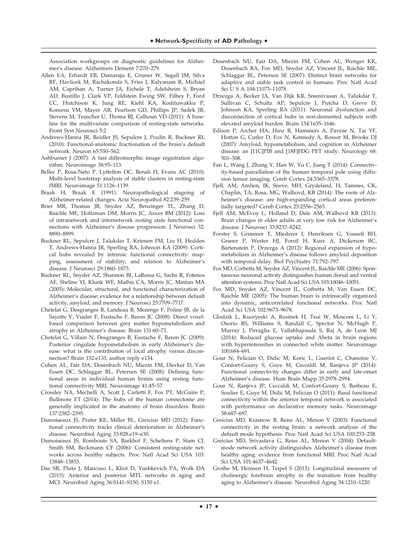Association workgroups on diagnostic guidelines for Alzheimer's disease. Alzheimers Dement 7:270–279.

- Allen EA, Erhardt EB, Damaraju E, Gruner W, Segall JM, Silva RF, Havlicek M, Rachakonda S, Fries J, Kalyanam R, Michael AM, Caprihan A, Turner JA, Eichele T, Adelsheim S, Bryan AD, Bustillo J, Clark VP, Feldstein Ewing SW, Filbey F, Ford CC, Hutchison K, Jung RE, Kiehl KA, Kodituwakku P, Komesu YM, Mayer AR, Pearlson GD, Phillips JP, Sadek JR, Stevens M, Teuscher U, Thoma RJ, Calhoun VD (2011): A baseline for the multivariate comparison of resting-state networks. Front Syst Neurosci 5:2
- Andrews-Hanna JR, Reidler JS, Sepulcre J, Poulin R, Buckner RL (2010): Functional-anatomic fractionation of the brain's default network. Neuron 65:550–562.
- Ashburner J (2007): A fast diffeomorphic image registration algorithm. Neuroimage 38:95–113.
- Bellec P, Rosa-Neto P, Lyttelton OC, Benali H, Evans AC (2010): Multi-level bootstrap analysis of stable clusters in resting-state fMRI. Neuroimage 51:1126–1139.
- Braak H, Braak E (1991): Neuropathological stageing of Alzheimer-related changes. Acta Neuropathol 82:239–259.
- Brier MR, Thomas JB, Snyder AZ, Benzinger TL, Zhang D, Raichle ME, Holtzman DM, Morris JC, Ances BM (2012): Loss of intranetwork and internetwork resting state functional connections with Alzheimer's disease progression. J Neurosci 32: 8890–8899.
- Buckner RL, Sepulcre J, Talukdar T, Krienen FM, Liu H, Hedden T, Andrews-Hanna JR, Sperling RA, Johnson KA (2009): Cortical hubs revealed by intrinsic functional connectivity: mapping, assessment of stability, and relation to Alzheimer's disease. J Neurosci 29:1860–1873.
- Buckner RL, Snyder AZ, Shannon BJ, LaRossa G, Sachs R, Fotenos AF, Sheline YI, Klunk WE, Mathis CA, Morris JC, Mintun MA (2005): Molecular, structural, and functional characterization of Alzheimer's disease: evidence for a relationship between default activity, amyloid, and memory. J Neurosci 25:7709–7717.
- Chetelat G, Desgranges B, Landeau B, Mezenge F, Poline JB, de la Sayette V, Viader F, Eustache F, Baron JC (2008): Direct voxelbased comparison between grey matter hypometabolism and atrophy in Alzheimer's disease. Brain 131:60–71.
- Chetelat G, Villain N, Desgranges B, Eustache F, Baron JC (2009): Posterior cingulate hypometabolism in early Alzheimer's disease: what is the contribution of local atrophy versus disconnection? Brain 132:e133, author reply e134.
- Cohen AL, Fair DA, Dosenbach NU, Miezin FM, Dierker D, Van Essen DC, Schlaggar BL, Petersen SE (2008): Defining functional areas in individual human brains using resting functional connectivity MRI. Neuroimage 41:45–57.
- Crossley NA, Mechelli A, Scott J, Carletti F, Fox PT, McGuire P, Bullmore ET (2014): The hubs of the human connectome are generally implicated in the anatomy of brain disorders. Brain 137:2382–2395.
- Damoiseaux JS, Prater KE, Miller BL, Greicius MD (2012): Functional connectivity tracks clinical deterioration in Alzheimer's disease. Neurobiol Aging 33:828.e19–e30.
- Damoiseaux JS, Rombouts SA, Barkhof F, Scheltens P, Stam CJ, Smith SM, Beckmann CF (2006): Consistent resting-state networks across healthy subjects. Proc Natl Acad Sci USA 103: 13848–13853.
- Das SR, Pluta J, Mancuso L, Kliot D, Yushkevich PA, Wolk DA (2015): Anterior and posterior MTL networks in aging and MCI. Neurobiol Aging 36:S141–S150, S150 e1.
- Dosenbach NU, Fair DA, Miezin FM, Cohen AL, Wenger KK, Dosenbach RA, Fox MD, Snyder AZ, Vincent JL, Raichle ME, Schlaggar BL, Petersen SE (2007): Distinct brain networks for adaptive and stable task control in humans. Proc Natl Acad Sci U S A 104:11073–11078.
- Drzezga A, Becker JA, Van Dijk KR, Sreenivasan A, Talukdar T, Sullivan C, Schultz AP, Sepulcre J, Putcha D, Greve D, Johnson KA, Sperling RA (2011): Neuronal dysfunction and disconnection of cortical hubs in non-demented subjects with elevated amyloid burden. Brain 134:1635–1646.
- Edison P, Archer HA, Hinz R, Hammers A, Pavese N, Tai YF, Hotton G, Cutler D, Fox N, Kennedy A, Rossor M, Brooks DJ (2007): Amyloid, hypometabolism, and cognition in Alzheimer disease: an [11C]PIB and [18F]FDG PET study. Neurology 68: 501–508.
- Fan L, Wang J, Zhang Y, Han W, Yu C, Jiang T (2014): Connectivity-based parcellation of the human temporal pole using diffusion tensor imaging. Cereb Cortex 24:3365–3378.
- Fjell, AM, Amlien, IK, Sneve, MH, Grydeland, H, Tamnes, CK, Chaplin, TA, Rosa, MG, Walhovd, KB (2014): The roots of Alzheimer's disease: are high-expanding cortical areas preferentially targeted? Cereb Cortex 25:2556–2565.
- Fjell AM, McEvoy L, Holland D, Dale AM, Walhovd KB (2013): Brain changes in older adults at very low risk for Alzheimer's disease. J Neurosci 33:8237–8242.
- Forster S, Grimmer T, Miederer I, Henriksen G, Yousefi BH, Graner P, Wester HJ, Forstl H, Kurz A, Dickerson BC, Bartenstein P, Drzezga A (2012): Regional expansion of hypometabolism in Alzheimer's disease follows amyloid deposition with temporal delay. Biol Psychiatry 71:792–797.
- Fox MD, Corbetta M, Snyder AZ, Vincent JL, Raichle ME (2006): Spontaneous neuronal activity distinguishes human dorsal and ventral attention systems. Proc Natl Acad Sci USA 103:10046–10051.
- Fox MD, Snyder AZ, Vincent JL, Corbetta M, Van Essen DC, Raichle ME (2005): The human brain is intrinsically organized into dynamic, anticorrelated functional networks. Proc Natl Acad Sci USA 102:9673–9678.
- Glodzik L, Kuceyeski A, Rusinek H, Tsui W, Mosconi L, Li Y, Osorio RS, Williams S, Randall C, Spector N, McHugh P, Murray J, Pirraglia E, Vallabhajosula S, Raj A, de Leon MJ (2014): Reduced glucose uptake and Abeta in brain regions with hyperintensities in connected white matter. Neuroimage 100:684–691.
- Gour N, Felician O, Didic M, Koric L, Gueriot C, Chanoine V, Confort-Gouny S, Guye M, Ceccaldi M, Ranjeva JP (2014): Functional connectivity changes differ in early and late-onset Alzheimer's disease. Hum Brain Mapp 35:2978–2994.
- Gour N, Ranjeva JP, Ceccaldi M, Confort-Gouny S, Barbeau E, Soulier E, Guye M, Didic M, Felician O (2011): Basal functional connectivity within the anterior temporal network is associated with performance on declarative memory tasks. Neuroimage 58:687–697.
- Greicius MD, Krasnow B, Reiss AL, Menon V (2003): Functional connectivity in the resting brain: a network analysis of the default mode hypothesis. Proc Natl Acad Sci USA 100:253–258.
- Greicius MD, Srivastava G, Reiss AL, Menon V (2004): Defaultmode network activity distinguishes Alzheimer's disease from healthy aging: evidence from functional MRI. Proc Natl Acad Sci USA 101:4637–4642.
- Grothe M, Heinsen H, Teipel S (2013): Longitudinal measures of cholinergic forebrain atrophy in the transition from healthy aging to Alzheimer's disease. Neurobiol Aging 34:1210–1220.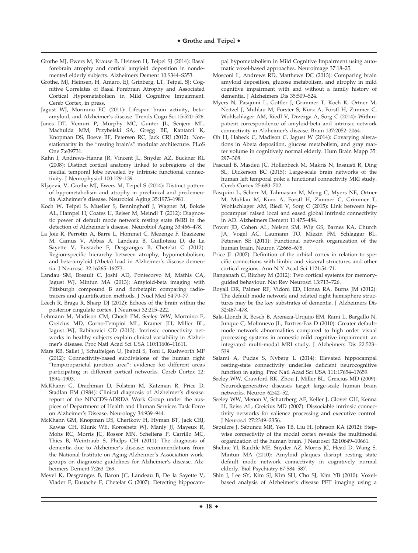- Grothe MJ, Ewers M, Krause B, Heinsen H, Teipel SJ (2014): Basal forebrain atrophy and cortical amyloid deposition in nondemented elderly subjects. Alzheimers Dement 10:S344–S353.
- Grothe, MJ, Heinsen, H, Amaro, EJ, Grinberg, LT, Teipel, SJ: Cognitive Correlates of Basal Forebrain Atrophy and Associated Cortical Hypometabolism in Mild Cognitive Impairment. Cereb Cortex, in press.
- Jagust WJ, Mormino EC (2011): Lifespan brain activity, betaamyloid, and Alzheimer's disease. Trends Cogn Sci 15:520–526.
- Jones DT, Vemuri P, Murphy MC, Gunter JL, Senjem ML, Machulda MM, Przybelski SA, Gregg BE, Kantarci K, Knopman DS, Boeve BF, Petersen RC, Jack CRJ (2012): Nonstationarity in the "resting brain's" modular architecture. PLoS One 7:e39731.
- Kahn I, Andrews-Hanna JR, Vincent JL, Snyder AZ, Buckner RL (2008): Distinct cortical anatomy linked to subregions of the medial temporal lobe revealed by intrinsic functional connectivity. J Neurophysiol 100:129–139.
- Kljajevic V, Grothe MJ, Ewers M, Teipel S (2014): Distinct pattern of hypometabolism and atrophy in preclinical and predementia Alzheimer's disease. Neurobiol Aging 35:1973–1981.
- Koch W, Teipel S, Mueller S, Benninghoff J, Wagner M, Bokde AL, Hampel H, Coates U, Reiser M, Meindl T (2012): Diagnostic power of default mode network resting state fMRI in the detection of Alzheimer's disease. Neurobiol Aging 33:466–478.
- La Joie R, Perrotin A, Barre L, Hommet C, Mezenge F, Ibazizene M, Camus V, Abbas A, Landeau B, Guilloteau D, de La Sayette V, Eustache F, Desgranges B, Chetelat G (2012): Region-specific hierarchy between atrophy, hypometabolism, and beta-amyloid (Abeta) load in Alzheimer's disease dementia. J Neurosci 32:16265–16273.
- Landau SM, Breault C, Joshi AD, Pontecorvo M, Mathis CA, Jagust WJ, Mintun MA (2013): Amyloid-beta imaging with Pittsburgh compound B and florbetapir: comparing radiotracers and quantification methods. J Nucl Med 54:70–77.
- Leech R, Braga R, Sharp DJ (2012): Echoes of the brain within the posterior cingulate cortex. J Neurosci 32:215–222.
- Lehmann M, Madison CM, Ghosh PM, Seeley WW, Mormino E, Greicius MD, Gorno-Tempini ML, Kramer JH, Miller BL, Jagust WJ, Rabinovici GD (2013): Intrinsic connectivity networks in healthy subjects explain clinical variability in Alzheimer's disease. Proc Natl Acad Sci USA 110:11606–11611.
- Mars RB, Sallet J, Schuffelgen U, Jbabdi S, Toni I, Rushworth MF (2012): Connectivity-based subdivisions of the human right "temporoparietal junction area": evidence for different areas participating in different cortical networks. Cereb Cortex 22: 1894–1903.
- McKhann G, Drachman D, Folstein M, Katzman R, Price D, Stadlan EM (1984): Clinical diagnosis of Alzheimer's disease: report of the NINCDS-ADRDA Work Group under the auspices of Department of Health and Human Services Task Force on Alzheimer's Disease. Neurology 34:939–944.
- McKhann GM, Knopman DS, Chertkow H, Hyman BT, Jack CRJ, Kawas CH, Klunk WE, Koroshetz WJ, Manly JJ, Mayeux R, Mohs RC, Morris JC, Rossor MN, Scheltens P, Carrillo MC, Thies B, Weintraub S, Phelps CH (2011): The diagnosis of dementia due to Alzheimer's disease: recommendations from the National Institute on Aging-Alzheimer's Association workgroups on diagnostic guidelines for Alzheimer's disease. Alzheimers Dement 7:263–269.
- Mevel K, Desgranges B, Baron JC, Landeau B, De la Sayette V, Viader F, Eustache F, Chetelat G (2007): Detecting hippocam-

pal hypometabolism in Mild Cognitive Impairment using automatic voxel-based approaches. Neuroimage 37:18–25.

- Mosconi L, Andrews RD, Matthews DC (2013): Comparing brain amyloid deposition, glucose metabolism, and atrophy in mild cognitive impairment with and without a family history of dementia. J Alzheimers Dis 35:509–524.
- Myers N, Pasquini L, Gottler J, Grimmer T, Koch K, Ortner M, Neitzel J, Muhlau M, Forster S, Kurz A, Forstl H, Zimmer C, Wohlschlager AM, Riedl V, Drzezga A, Sorg C (2014): Withinpatient correspondence of amyloid-beta and intrinsic network connectivity in Alzheimer's disease. Brain 137:2052–2064.
- Oh H, Habeck C, Madison C, Jagust W (2014): Covarying alterations in Abeta deposition, glucose metabolism, and gray matter volume in cognitively normal elderly. Hum Brain Mapp 35: 297–308.
- Pascual B, Masdeu JC, Hollenbeck M, Makris N, Insausti R, Ding SL, Dickerson BC (2015): Large-scale brain networks of the human left temporal pole: a functional connectivity MRI study. Cereb Cortex 25:680–702.
- Pasquini L, Scherr M, Tahmasian M, Meng C, Myers NE, Ortner M, Muhlau M, Kurz A, Forstl H, Zimmer C, Grimmer T, Wohlschlager AM, Riedl V, Sorg C (2015): Link between hippocampus' raised local and eased global intrinsic connectivity in AD. Alzheimers Dement 11:475–484.
- Power JD, Cohen AL, Nelson SM, Wig GS, Barnes KA, Church JA, Vogel AC, Laumann TO, Miezin FM, Schlaggar BL, Petersen SE (2011): Functional network organization of the human brain. Neuron 72:665–678.
- Price JL (2007): Definition of the orbital cortex in relation to specific connections with limbic and visceral structures and other cortical regions. Ann N Y Acad Sci 1121:54–71.
- Ranganath C, Ritchey M (2012): Two cortical systems for memoryguided behaviour. Nat Rev Neurosci 13:713–726.
- Royall DR, Palmer RF, Vidoni ED, Honea RA, Burns JM (2012): The default mode network and related right hemisphere structures may be the key substrates of dementia. J Alzheimers Dis 32:467–478.
- Sala-Llonch R, Bosch B, Arenaza-Urquijo EM, Rami L, Bargallo N, Junque C, Molinuevo JL, Bartres-Faz D (2010): Greater defaultmode network abnormalities compared to high order visual processing systems in amnestic mild cognitive impairment: an integrated multi-modal MRI study. J Alzheimers Dis 22:523– 539.
- Salami A, Pudas S, Nyberg L (2014): Elevated hippocampal resting-state connectivity underlies deficient neurocognitive function in aging. Proc Natl Acad Sci USA 111:17654–17659.
- Seeley WW, Crawford RK, Zhou J, Miller BL, Greicius MD (2009): Neurodegenerative diseases target large-scale human brain networks. Neuron 62:42–52.
- Seeley WW, Menon V, Schatzberg AF, Keller J, Glover GH, Kenna H, Reiss AL, Greicius MD (2007): Dissociable intrinsic connectivity networks for salience processing and executive control. J Neurosci 27:2349–2356.
- Sepulcre J, Sabuncu MR, Yeo TB, Liu H, Johnson KA (2012): Stepwise connectivity of the modal cortex reveals the multimodal organization of the human brain. J Neurosci 32:10649–10661.
- Sheline YI, Raichle ME, Snyder AZ, Morris JC, Head D, Wang S, Mintun MA (2010): Amyloid plaques disrupt resting state default mode network connectivity in cognitively normal elderly. Biol Psychiatry 67:584–587.
- Shin J, Lee SY, Kim SJ, Kim SH, Cho SJ, Kim YB (2010): Voxelbased analysis of Alzheimer's disease PET imaging using a